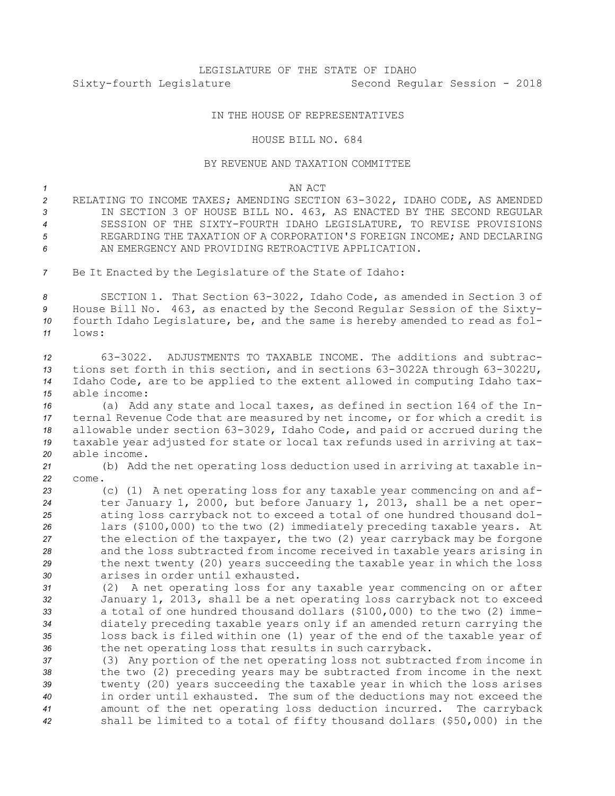# LEGISLATURE OF THE STATE OF IDAHO Sixty-fourth Legislature Second Regular Session - 2018

## IN THE HOUSE OF REPRESENTATIVES

#### HOUSE BILL NO. 684

### BY REVENUE AND TAXATION COMMITTEE

#### *1* AN ACT

- *<sup>2</sup>* RELATING TO INCOME TAXES; AMENDING SECTION 63-3022, IDAHO CODE, AS AMENDED *<sup>3</sup>* IN SECTION 3 OF HOUSE BILL NO. 463, AS ENACTED BY THE SECOND REGULAR *4* SESSION OF THE SIXTY-FOURTH IDAHO LEGISLATURE, TO REVISE PROVISIONS *5* REGARDING THE TAXATION OF A CORPORATION'S FOREIGN INCOME; AND DECLARING *6* AN EMERGENCY AND PROVIDING RETROACTIVE APPLICATION.
- *<sup>7</sup>* Be It Enacted by the Legislature of the State of Idaho:

 SECTION 1. That Section 63-3022, Idaho Code, as amended in Section 3 of House Bill No. 463, as enacted by the Second Regular Session of the Sixty- fourth Idaho Legislature, be, and the same is hereby amended to read as fol-*11* lows:

 63-3022. ADJUSTMENTS TO TAXABLE INCOME. The additions and subtrac- tions set forth in this section, and in sections 63-3022A through 63-3022U, Idaho Code, are to be applied to the extent allowed in computing Idaho tax-able income:

 (a) Add any state and local taxes, as defined in section 164 of the In- ternal Revenue Code that are measured by net income, or for which <sup>a</sup> credit is allowable under section 63-3029, Idaho Code, and paid or accrued during the taxable year adjusted for state or local tax refunds used in arriving at tax-able income.

*<sup>21</sup>* (b) Add the net operating loss deduction used in arriving at taxable in-*22* come.

 (c) (1) <sup>A</sup> net operating loss for any taxable year commencing on and af- ter January 1, 2000, but before January 1, 2013, shall be <sup>a</sup> net oper- ating loss carryback not to exceed <sup>a</sup> total of one hundred thousand dol- lars (\$100,000) to the two (2) immediately preceding taxable years. At the election of the taxpayer, the two (2) year carryback may be forgone and the loss subtracted from income received in taxable years arising in the next twenty (20) years succeeding the taxable year in which the loss arises in order until exhausted.

 (2) <sup>A</sup> net operating loss for any taxable year commencing on or after January 1, 2013, shall be <sup>a</sup> net operating loss carryback not to exceed <sup>a</sup> total of one hundred thousand dollars (\$100,000) to the two (2) imme- diately preceding taxable years only if an amended return carrying the loss back is filed within one (1) year of the end of the taxable year of the net operating loss that results in such carryback.

 (3) Any portion of the net operating loss not subtracted from income in the two (2) preceding years may be subtracted from income in the next twenty (20) years succeeding the taxable year in which the loss arises in order until exhausted. The sum of the deductions may not exceed the amount of the net operating loss deduction incurred. The carryback shall be limited to <sup>a</sup> total of fifty thousand dollars (\$50,000) in the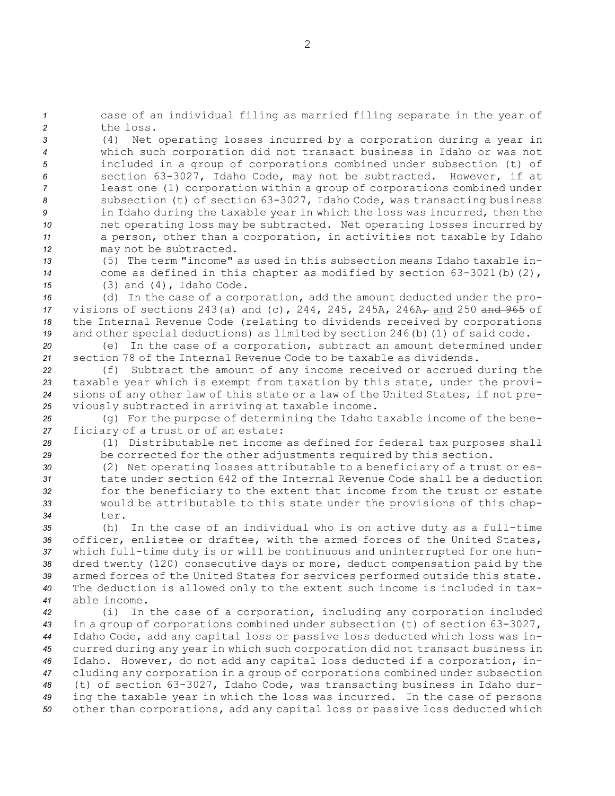*<sup>1</sup>* case of an individual filing as married filing separate in the year of *2* the loss.

 (4) Net operating losses incurred by <sup>a</sup> corporation during <sup>a</sup> year in which such corporation did not transact business in Idaho or was not included in <sup>a</sup> group of corporations combined under subsection (t) of section 63-3027, Idaho Code, may not be subtracted. However, if at least one (1) corporation within <sup>a</sup> group of corporations combined under subsection (t) of section 63-3027, Idaho Code, was transacting business in Idaho during the taxable year in which the loss was incurred, then the net operating loss may be subtracted. Net operating losses incurred by <sup>a</sup> person, other than <sup>a</sup> corporation, in activities not taxable by Idaho may not be subtracted.

*13* (5) The term "income" as used in this subsection means Idaho taxable in-*<sup>14</sup>* come as defined in this chapter as modified by section 63-3021(b)(2), *<sup>15</sup>* (3) and (4), Idaho Code.

 (d) In the case of <sup>a</sup> corporation, add the amount deducted under the pro- visions of sections 243(a) and (c), 244, 245, 245A, 246A<sub>7</sub> and 250 and 965 of the Internal Revenue Code (relating to dividends received by corporations 19 and other special deductions) as limited by section 246(b)(1) of said code.

*<sup>20</sup>* (e) In the case of <sup>a</sup> corporation, subtract an amount determined under *21* section 78 of the Internal Revenue Code to be taxable as dividends.

 (f) Subtract the amount of any income received or accrued during the taxable year which is exempt from taxation by this state, under the provi- sions of any other law of this state or <sup>a</sup> law of the United States, if not pre-viously subtracted in arriving at taxable income.

*<sup>26</sup>* (g) For the purpose of determining the Idaho taxable income of the bene-*<sup>27</sup>* ficiary of <sup>a</sup> trust or of an estate:

*<sup>28</sup>* (1) Distributable net income as defined for federal tax purposes shall *<sup>29</sup>* be corrected for the other adjustments required by this section.

 (2) Net operating losses attributable to <sup>a</sup> beneficiary of <sup>a</sup> trust or es- tate under section 642 of the Internal Revenue Code shall be <sup>a</sup> deduction for the beneficiary to the extent that income from the trust or estate would be attributable to this state under the provisions of this chap-*34* ter.

 (h) In the case of an individual who is on active duty as <sup>a</sup> full-time officer, enlistee or draftee, with the armed forces of the United States, which full-time duty is or will be continuous and uninterrupted for one hun- dred twenty (120) consecutive days or more, deduct compensation paid by the armed forces of the United States for services performed outside this state. The deduction is allowed only to the extent such income is included in tax-able income.

 (i) In the case of <sup>a</sup> corporation, including any corporation included in <sup>a</sup> group of corporations combined under subsection (t) of section 63-3027, Idaho Code, add any capital loss or passive loss deducted which loss was in- curred during any year in which such corporation did not transact business in Idaho. However, do not add any capital loss deducted if <sup>a</sup> corporation, in- cluding any corporation in <sup>a</sup> group of corporations combined under subsection (t) of section 63-3027, Idaho Code, was transacting business in Idaho dur- ing the taxable year in which the loss was incurred. In the case of persons other than corporations, add any capital loss or passive loss deducted which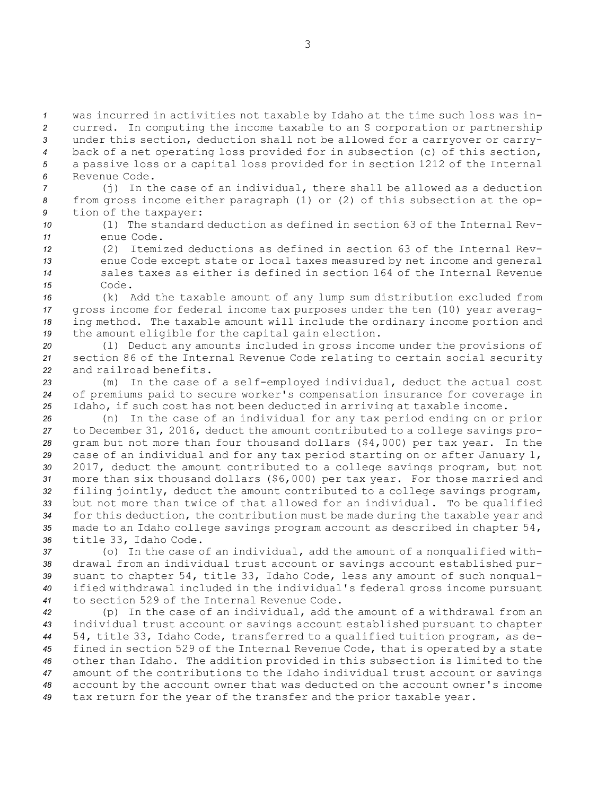was incurred in activities not taxable by Idaho at the time such loss was in- curred. In computing the income taxable to an S corporation or partnership under this section, deduction shall not be allowed for <sup>a</sup> carryover or carry- back of <sup>a</sup> net operating loss provided for in subsection (c) of this section, <sup>a</sup> passive loss or <sup>a</sup> capital loss provided for in section 1212 of the Internal Revenue Code.

*<sup>7</sup>* (j) In the case of an individual, there shall be allowed as <sup>a</sup> deduction *<sup>8</sup>* from gross income either paragraph (1) or (2) of this subsection at the op-*<sup>9</sup>* tion of the taxpayer:

*10* (1) The standard deduction as defined in section 63 of the Internal Rev-*11* enue Code.

 (2) Itemized deductions as defined in section 63 of the Internal Rev- enue Code except state or local taxes measured by net income and general sales taxes as either is defined in section 164 of the Internal Revenue *15* Code.

 (k) Add the taxable amount of any lump sum distribution excluded from gross income for federal income tax purposes under the ten (10) year averag- ing method. The taxable amount will include the ordinary income portion and the amount eligible for the capital gain election.

*<sup>20</sup>* (l) Deduct any amounts included in gross income under the provisions of *<sup>21</sup>* section 86 of the Internal Revenue Code relating to certain social security *22* and railroad benefits.

*<sup>23</sup>* (m) In the case of <sup>a</sup> self-employed individual, deduct the actual cost *<sup>24</sup>* of premiums paid to secure worker's compensation insurance for coverage in *<sup>25</sup>* Idaho, if such cost has not been deducted in arriving at taxable income.

 (n) In the case of an individual for any tax period ending on or prior to December 31, 2016, deduct the amount contributed to <sup>a</sup> college savings pro- gram but not more than four thousand dollars (\$4,000) per tax year. In the case of an individual and for any tax period starting on or after January 1, 2017, deduct the amount contributed to <sup>a</sup> college savings program, but not more than six thousand dollars (\$6,000) per tax year. For those married and filing jointly, deduct the amount contributed to <sup>a</sup> college savings program, but not more than twice of that allowed for an individual. To be qualified for this deduction, the contribution must be made during the taxable year and made to an Idaho college savings program account as described in chapter 54, title 33, Idaho Code.

 (o) In the case of an individual, add the amount of <sup>a</sup> nonqualified with- drawal from an individual trust account or savings account established pur- suant to chapter 54, title 33, Idaho Code, less any amount of such nonqual- ified withdrawal included in the individual's federal gross income pursuant to section 529 of the Internal Revenue Code.

 (p) In the case of an individual, add the amount of <sup>a</sup> withdrawal from an individual trust account or savings account established pursuant to chapter 54, title 33, Idaho Code, transferred to <sup>a</sup> qualified tuition program, as de- fined in section 529 of the Internal Revenue Code, that is operated by <sup>a</sup> state other than Idaho. The addition provided in this subsection is limited to the amount of the contributions to the Idaho individual trust account or savings account by the account owner that was deducted on the account owner's income tax return for the year of the transfer and the prior taxable year.